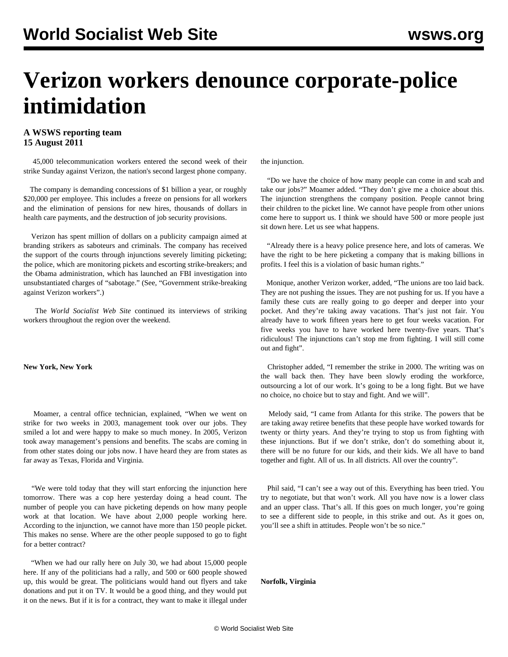# **Verizon workers denounce corporate-police intimidation**

## **A WSWS reporting team 15 August 2011**

 45,000 telecommunication workers entered the second week of their strike Sunday against Verizon, the nation's second largest phone company.

 The company is demanding concessions of \$1 billion a year, or roughly \$20,000 per employee. This includes a freeze on pensions for all workers and the elimination of pensions for new hires, thousands of dollars in health care payments, and the destruction of job security provisions.

 Verizon has spent million of dollars on a publicity campaign aimed at branding strikers as saboteurs and criminals. The company has received the support of the courts through injunctions severely limiting picketing; the police, which are monitoring pickets and escorting strike-breakers; and the Obama administration, which has launched an FBI investigation into unsubstantiated charges of "sabotage." (See, ["Government strike-breaking](/en/articles/2011/aug2011/veri-a15.shtml) [against Verizon workers"](/en/articles/2011/aug2011/veri-a15.shtml).)

 The *World Socialist Web Site* continued its interviews of striking workers throughout the region over the weekend.

#### **New York, New York**

 Moamer, a central office technician, explained, "When we went on strike for two weeks in 2003, management took over our jobs. They smiled a lot and were happy to make so much money. In 2005, Verizon took away management's pensions and benefits. The scabs are coming in from other states doing our jobs now. I have heard they are from states as far away as Texas, Florida and Virginia.

 "We were told today that they will start enforcing the injunction here tomorrow. There was a cop here yesterday doing a head count. The number of people you can have picketing depends on how many people work at that location. We have about 2,000 people working here. According to the injunction, we cannot have more than 150 people picket. This makes no sense. Where are the other people supposed to go to fight for a better contract?

 "When we had our rally here on July 30, we had about 15,000 people here. If any of the politicians had a rally, and 500 or 600 people showed up, this would be great. The politicians would hand out flyers and take donations and put it on TV. It would be a good thing, and they would put it on the news. But if it is for a contract, they want to make it illegal under

the injunction.

 "Do we have the choice of how many people can come in and scab and take our jobs?" Moamer added. "They don't give me a choice about this. The injunction strengthens the company position. People cannot bring their children to the picket line. We cannot have people from other unions come here to support us. I think we should have 500 or more people just sit down here. Let us see what happens.

 "Already there is a heavy police presence here, and lots of cameras. We have the right to be here picketing a company that is making billions in profits. I feel this is a violation of basic human rights."

 Monique, another Verizon worker, added, "The unions are too laid back. They are not pushing the issues. They are not pushing for us. If you have a family these cuts are really going to go deeper and deeper into your pocket. And they're taking away vacations. That's just not fair. You already have to work fifteen years here to get four weeks vacation. For five weeks you have to have worked here twenty-five years. That's ridiculous! The injunctions can't stop me from fighting. I will still come out and fight".

 Christopher added, "I remember the strike in 2000. The writing was on the wall back then. They have been slowly eroding the workforce, outsourcing a lot of our work. It's going to be a long fight. But we have no choice, no choice but to stay and fight. And we will".

 Melody said, "I came from Atlanta for this strike. The powers that be are taking away retiree benefits that these people have worked towards for twenty or thirty years. And they're trying to stop us from fighting with these injunctions. But if we don't strike, don't do something about it, there will be no future for our kids, and their kids. We all have to band together and fight. All of us. In all districts. All over the country".

 Phil said, "I can't see a way out of this. Everything has been tried. You try to negotiate, but that won't work. All you have now is a lower class and an upper class. That's all. If this goes on much longer, you're going to see a different side to people, in this strike and out. As it goes on, you'll see a shift in attitudes. People won't be so nice."

**Norfolk, Virginia**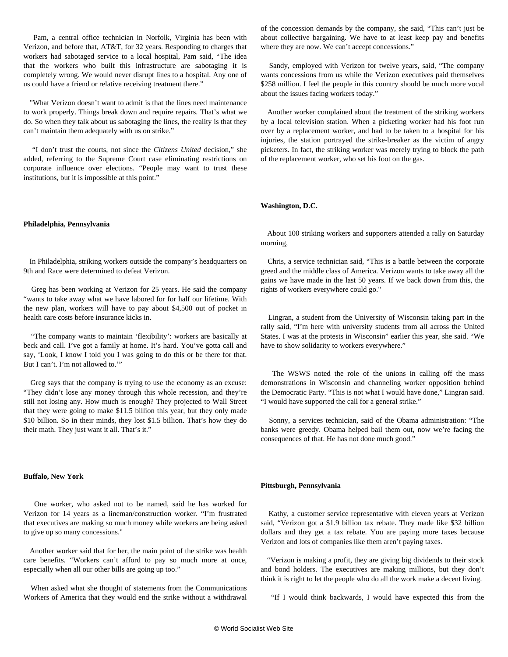Pam, a central office technician in Norfolk, Virginia has been with Verizon, and before that, AT&T, for 32 years. Responding to charges that workers had sabotaged service to a local hospital, Pam said, "The idea that the workers who built this infrastructure are sabotaging it is completely wrong. We would never disrupt lines to a hospital. Any one of us could have a friend or relative receiving treatment there."

 "What Verizon doesn't want to admit is that the lines need maintenance to work properly. Things break down and require repairs. That's what we do. So when they talk about us sabotaging the lines, the reality is that they can't maintain them adequately with us on strike."

 "I don't trust the courts, not since the *Citizens United* decision," she added, referring to the Supreme Court case eliminating restrictions on corporate influence over elections. "People may want to trust these institutions, but it is impossible at this point."

#### **Philadelphia, Pennsylvania**

 In Philadelphia, striking workers outside the company's headquarters on 9th and Race were determined to defeat Verizon.

 Greg has been working at Verizon for 25 years. He said the company "wants to take away what we have labored for for half our lifetime. With the new plan, workers will have to pay about \$4,500 out of pocket in health care costs before insurance kicks in.

 "The company wants to maintain 'flexibility': workers are basically at beck and call. I've got a family at home. It's hard. You've gotta call and say, 'Look, I know I told you I was going to do this or be there for that. But I can't. I'm not allowed to.'"

 Greg says that the company is trying to use the economy as an excuse: "They didn't lose any money through this whole recession, and they're still not losing any. How much is enough? They projected to Wall Street that they were going to make \$11.5 billion this year, but they only made \$10 billion. So in their minds, they lost \$1.5 billion. That's how they do their math. They just want it all. That's it."

#### **Buffalo, New York**

 One worker, who asked not to be named, said he has worked for Verizon for 14 years as a lineman/construction worker. "I'm frustrated that executives are making so much money while workers are being asked to give up so many concessions."

 Another worker said that for her, the main point of the strike was health care benefits. "Workers can't afford to pay so much more at once, especially when all our other bills are going up too."

 When asked what she thought of statements from the Communications Workers of America that they would end the strike without a withdrawal of the concession demands by the company, she said, "This can't just be about collective bargaining. We have to at least keep pay and benefits where they are now. We can't accept concessions."

 Sandy, employed with Verizon for twelve years, said, "The company wants concessions from us while the Verizon executives paid themselves \$258 million. I feel the people in this country should be much more vocal about the issues facing workers today."

 Another worker complained about the treatment of the striking workers by a local television station. When a picketing worker had his foot run over by a replacement worker, and had to be taken to a hospital for his injuries, the station portrayed the strike-breaker as the victim of angry picketers. In fact, the striking worker was merely trying to block the path of the replacement worker, who set his foot on the gas.

### **Washington, D.C.**

 About 100 striking workers and supporters attended a rally on Saturday morning,

 Chris, a service technician said, "This is a battle between the corporate greed and the middle class of America. Verizon wants to take away all the gains we have made in the last 50 years. If we back down from this, the rights of workers everywhere could go."

 Lingran, a student from the University of Wisconsin taking part in the rally said, "I'm here with university students from all across the United States. I was at the protests in Wisconsin" earlier this year, she said. "We have to show solidarity to workers everywhere."

 The WSWS noted the role of the unions in calling off the mass demonstrations in Wisconsin and channeling worker opposition behind the Democratic Party. "This is not what I would have done," Lingran said. "I would have supported the call for a general strike."

 Sonny, a services technician, said of the Obama administration: "The banks were greedy. Obama helped bail them out, now we're facing the consequences of that. He has not done much good."

#### **Pittsburgh, Pennsylvania**

 Kathy, a customer service representative with eleven years at Verizon said, "Verizon got a \$1.9 billion tax rebate. They made like \$32 billion dollars and they get a tax rebate. You are paying more taxes because Verizon and lots of companies like them aren't paying taxes.

 "Verizon is making a profit, they are giving big dividends to their stock and bond holders. The executives are making millions, but they don't think it is right to let the people who do all the work make a decent living.

"If I would think backwards, I would have expected this from the